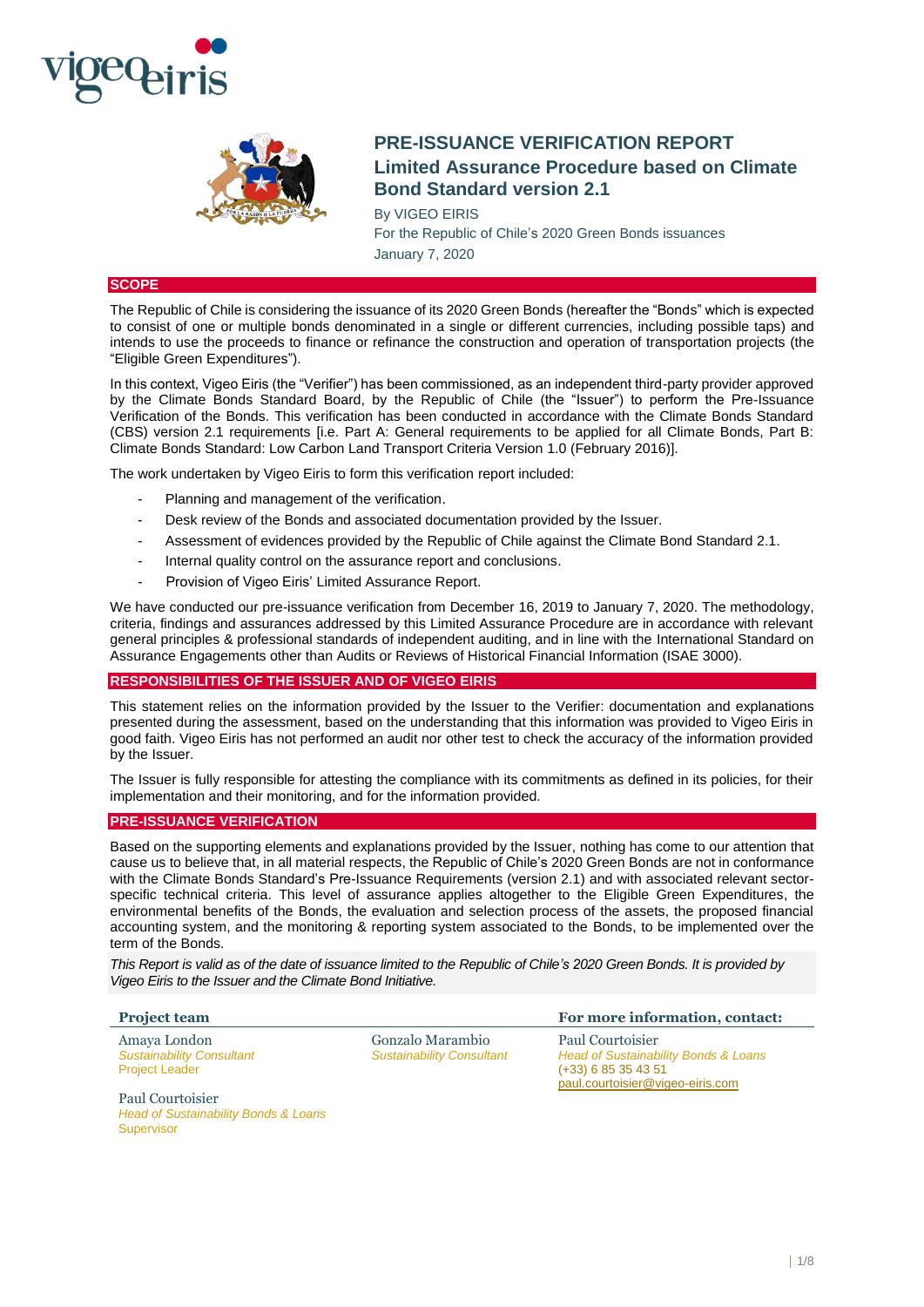



# **PRE-ISSUANCE VERIFICATION REPORT Limited Assurance Procedure based on Climate Bond Standard version 2.1**

By VIGEO EIRIS For the Republic of Chile's 2020 Green Bonds issuances January 7, 2020

# **SCOPE**

The Republic of Chile is considering the issuance of its 2020 Green Bonds (hereafter the "Bonds" which is expected to consist of one or multiple bonds denominated in a single or different currencies, including possible taps) and intends to use the proceeds to finance or refinance the construction and operation of transportation projects (the "Eligible Green Expenditures").

In this context, Vigeo Eiris (the "Verifier") has been commissioned, as an independent third-party provider approved by the Climate Bonds Standard Board, by the Republic of Chile (the "Issuer") to perform the Pre-Issuance Verification of the Bonds. This verification has been conducted in accordance with the Climate Bonds Standard (CBS) version 2.1 requirements [i.e. Part A: General requirements to be applied for all Climate Bonds, Part B: Climate Bonds Standard: Low Carbon Land Transport Criteria Version 1.0 (February 2016)].

The work undertaken by Vigeo Eiris to form this verification report included:

- Planning and management of the verification.
- Desk review of the Bonds and associated documentation provided by the Issuer.
- Assessment of evidences provided by the Republic of Chile against the Climate Bond Standard 2.1.
- Internal quality control on the assurance report and conclusions.
- Provision of Vigeo Eiris' Limited Assurance Report.

We have conducted our pre-issuance verification from December 16, 2019 to January 7, 2020. The methodology, criteria, findings and assurances addressed by this Limited Assurance Procedure are in accordance with relevant general principles & professional standards of independent auditing, and in line with the International Standard on Assurance Engagements other than Audits or Reviews of Historical Financial Information (ISAE 3000).

# **RESPONSIBILITIES OF THE ISSUER AND OF VIGEO EIRIS**

This statement relies on the information provided by the Issuer to the Verifier: documentation and explanations presented during the assessment, based on the understanding that this information was provided to Vigeo Eiris in good faith. Vigeo Eiris has not performed an audit nor other test to check the accuracy of the information provided by the Issuer.

The Issuer is fully responsible for attesting the compliance with its commitments as defined in its policies, for their implementation and their monitoring, and for the information provided.

# **PRE-ISSUANCE VERIFICATION**

Based on the supporting elements and explanations provided by the Issuer, nothing has come to our attention that cause us to believe that, in all material respects, the Republic of Chile's 2020 Green Bonds are not in conformance with the Climate Bonds Standard's Pre-Issuance Requirements (version 2.1) and with associated relevant sectorspecific technical criteria. This level of assurance applies altogether to the Eligible Green Expenditures, the environmental benefits of the Bonds, the evaluation and selection process of the assets, the proposed financial accounting system, and the monitoring & reporting system associated to the Bonds, to be implemented over the term of the Bonds.

*This Report is valid as of the date of issuance limited to the Republic of Chile's 2020 Green Bonds. It is provided by Vigeo Eiris to the Issuer and the Climate Bond Initiative.*

| <b>Project team</b>                                                       |                                                      | For more information, contact:                                                                                        |
|---------------------------------------------------------------------------|------------------------------------------------------|-----------------------------------------------------------------------------------------------------------------------|
| Amaya London<br><b>Sustainability Consultant</b><br><b>Project Leader</b> | Gonzalo Marambio<br><b>Sustainability Consultant</b> | Paul Courtoisier<br>Head of Sustainability Bonds & Loans<br>$(+33)$ 6 85 35 43 51<br>paul.courtoisier@vigeo-eiris.com |

Paul Courtoisier *Head of Sustainability Bonds & Loans* Supervisor

 $1/8$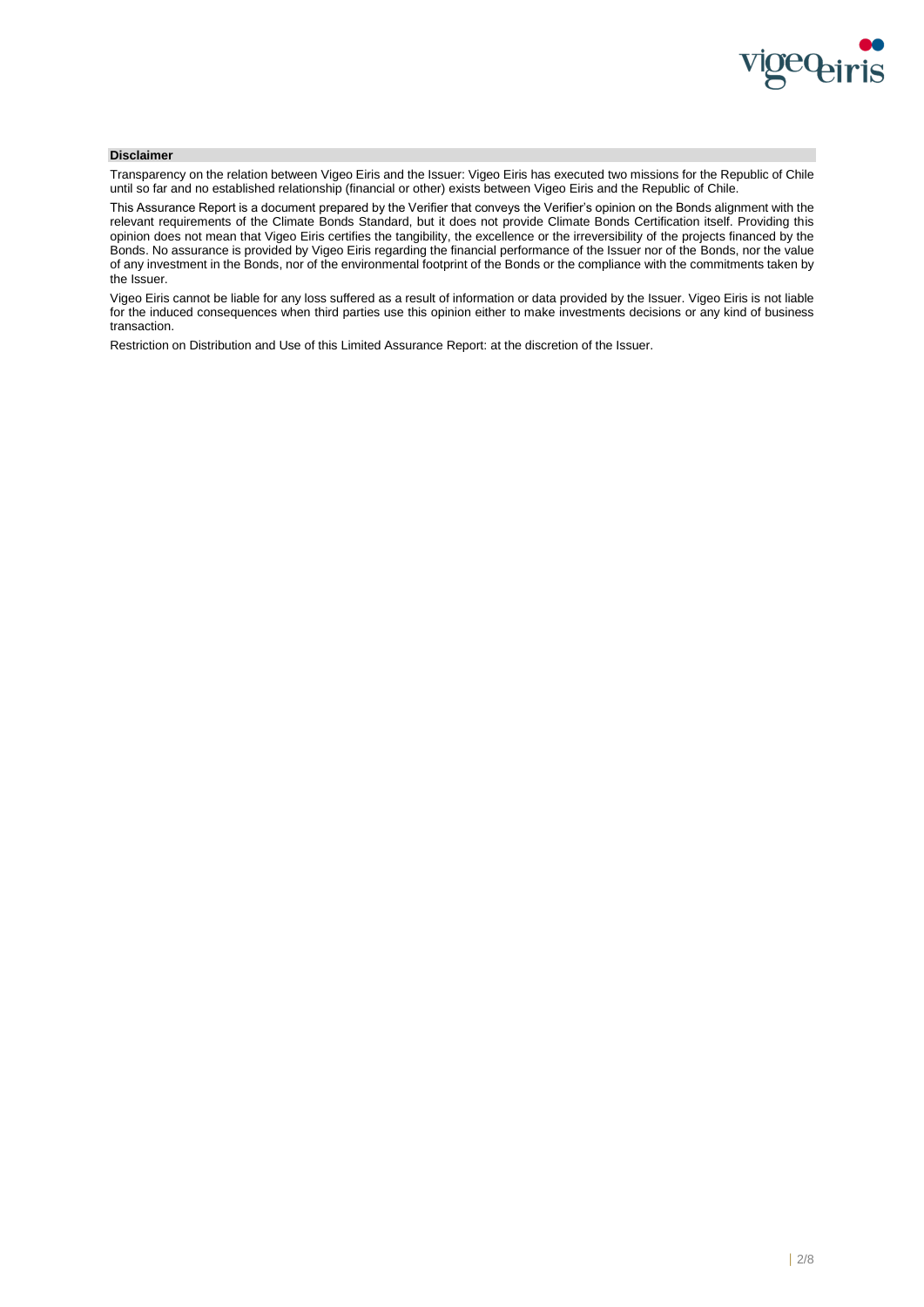

# **Disclaimer**

Transparency on the relation between Vigeo Eiris and the Issuer: Vigeo Eiris has executed two missions for the Republic of Chile until so far and no established relationship (financial or other) exists between Vigeo Eiris and the Republic of Chile.

This Assurance Report is a document prepared by the Verifier that conveys the Verifier's opinion on the Bonds alignment with the relevant requirements of the Climate Bonds Standard, but it does not provide Climate Bonds Certification itself. Providing this opinion does not mean that Vigeo Eiris certifies the tangibility, the excellence or the irreversibility of the projects financed by the Bonds. No assurance is provided by Vigeo Eiris regarding the financial performance of the Issuer nor of the Bonds, nor the value of any investment in the Bonds, nor of the environmental footprint of the Bonds or the compliance with the commitments taken by the Issuer.

Vigeo Eiris cannot be liable for any loss suffered as a result of information or data provided by the Issuer. Vigeo Eiris is not liable for the induced consequences when third parties use this opinion either to make investments decisions or any kind of business transaction.

Restriction on Distribution and Use of this Limited Assurance Report: at the discretion of the Issuer.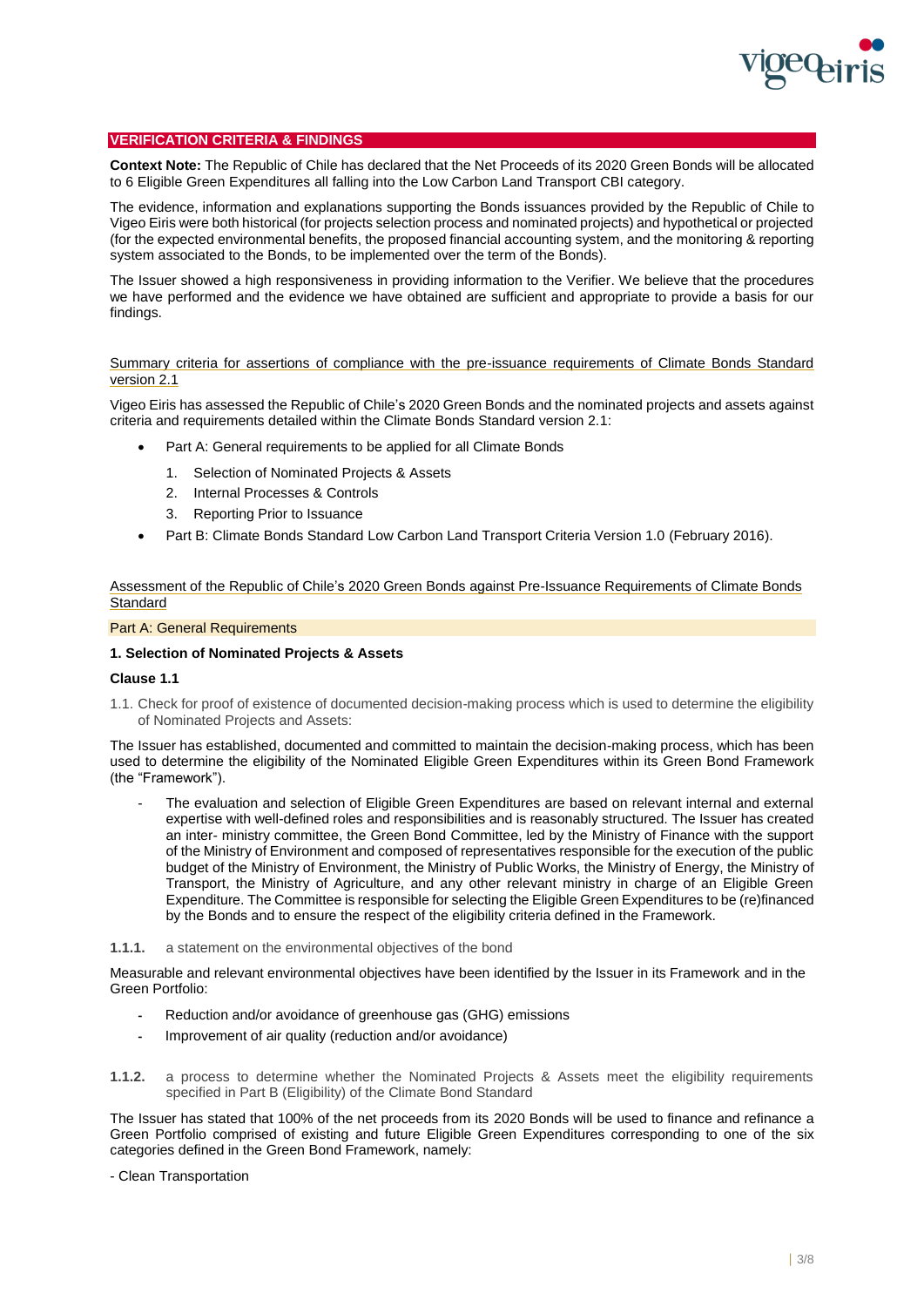

# **VERIFICATION CRITERIA & FINDINGS**

**Context Note:** The Republic of Chile has declared that the Net Proceeds of its 2020 Green Bonds will be allocated to 6 Eligible Green Expenditures all falling into the Low Carbon Land Transport CBI category.

The evidence, information and explanations supporting the Bonds issuances provided by the Republic of Chile to Vigeo Eiris were both historical (for projects selection process and nominated projects) and hypothetical or projected (for the expected environmental benefits, the proposed financial accounting system, and the monitoring & reporting system associated to the Bonds, to be implemented over the term of the Bonds).

The Issuer showed a high responsiveness in providing information to the Verifier. We believe that the procedures we have performed and the evidence we have obtained are sufficient and appropriate to provide a basis for our findings.

# Summary criteria for assertions of compliance with the pre-issuance requirements of Climate Bonds Standard version 2.1

Vigeo Eiris has assessed the Republic of Chile's 2020 Green Bonds and the nominated projects and assets against criteria and requirements detailed within the Climate Bonds Standard version 2.1:

- Part A: General requirements to be applied for all Climate Bonds
	- 1. Selection of Nominated Projects & Assets
	- 2. Internal Processes & Controls
	- 3. Reporting Prior to Issuance
- Part B: Climate Bonds Standard Low Carbon Land Transport Criteria Version 1.0 (February 2016).

# Assessment of the Republic of Chile's 2020 Green Bonds against Pre-Issuance Requirements of Climate Bonds **Standard**

### Part A: General Requirements

# **1. Selection of Nominated Projects & Assets**

### **Clause 1.1**

1.1. Check for proof of existence of documented decision-making process which is used to determine the eligibility of Nominated Projects and Assets:

The Issuer has established, documented and committed to maintain the decision-making process, which has been used to determine the eligibility of the Nominated Eligible Green Expenditures within its Green Bond Framework (the "Framework").

The evaluation and selection of Eligible Green Expenditures are based on relevant internal and external expertise with well-defined roles and responsibilities and is reasonably structured. The Issuer has created an inter- ministry committee, the Green Bond Committee, led by the Ministry of Finance with the support of the Ministry of Environment and composed of representatives responsible for the execution of the public budget of the Ministry of Environment, the Ministry of Public Works, the Ministry of Energy, the Ministry of Transport, the Ministry of Agriculture, and any other relevant ministry in charge of an Eligible Green Expenditure. The Committee is responsible for selecting the Eligible Green Expenditures to be (re)financed by the Bonds and to ensure the respect of the eligibility criteria defined in the Framework.

### **1.1.1.** a statement on the environmental objectives of the bond

Measurable and relevant environmental objectives have been identified by the Issuer in its Framework and in the Green Portfolio:

- Reduction and/or avoidance of greenhouse gas (GHG) emissions
- Improvement of air quality (reduction and/or avoidance)
- **1.1.2.** a process to determine whether the Nominated Projects & Assets meet the eligibility requirements specified in Part B (Eligibility) of the Climate Bond Standard

The Issuer has stated that 100% of the net proceeds from its 2020 Bonds will be used to finance and refinance a Green Portfolio comprised of existing and future Eligible Green Expenditures corresponding to one of the six categories defined in the Green Bond Framework, namely:

### - Clean Transportation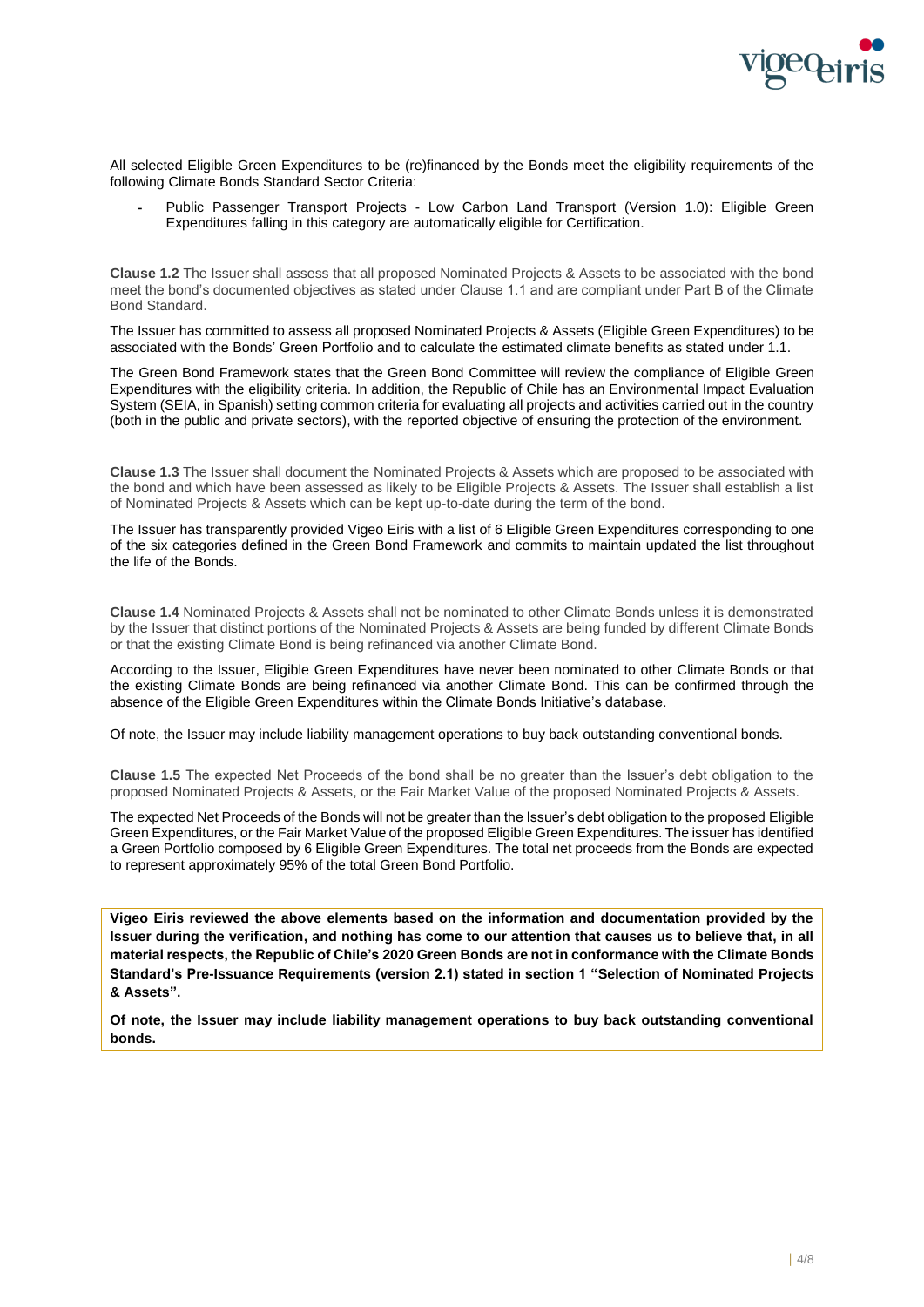

All selected Eligible Green Expenditures to be (re)financed by the Bonds meet the eligibility requirements of the following Climate Bonds Standard Sector Criteria:

Public Passenger Transport Projects - Low Carbon Land Transport (Version 1.0): Eligible Green Expenditures falling in this category are automatically eligible for Certification.

**Clause 1.2** The Issuer shall assess that all proposed Nominated Projects & Assets to be associated with the bond meet the bond's documented objectives as stated under Clause 1.1 and are compliant under Part B of the Climate Bond Standard.

The Issuer has committed to assess all proposed Nominated Projects & Assets (Eligible Green Expenditures) to be associated with the Bonds' Green Portfolio and to calculate the estimated climate benefits as stated under 1.1.

The Green Bond Framework states that the Green Bond Committee will review the compliance of Eligible Green Expenditures with the eligibility criteria. In addition, the Republic of Chile has an Environmental Impact Evaluation System (SEIA, in Spanish) setting common criteria for evaluating all projects and activities carried out in the country (both in the public and private sectors), with the reported objective of ensuring the protection of the environment.

**Clause 1.3** The Issuer shall document the Nominated Projects & Assets which are proposed to be associated with the bond and which have been assessed as likely to be Eligible Projects & Assets. The Issuer shall establish a list of Nominated Projects & Assets which can be kept up-to-date during the term of the bond.

The Issuer has transparently provided Vigeo Eiris with a list of 6 Eligible Green Expenditures corresponding to one of the six categories defined in the Green Bond Framework and commits to maintain updated the list throughout the life of the Bonds.

**Clause 1.4** Nominated Projects & Assets shall not be nominated to other Climate Bonds unless it is demonstrated by the Issuer that distinct portions of the Nominated Projects & Assets are being funded by different Climate Bonds or that the existing Climate Bond is being refinanced via another Climate Bond.

According to the Issuer, Eligible Green Expenditures have never been nominated to other Climate Bonds or that the existing Climate Bonds are being refinanced via another Climate Bond. This can be confirmed through the absence of the Eligible Green Expenditures within the Climate Bonds Initiative's database.

Of note, the Issuer may include liability management operations to buy back outstanding conventional bonds.

**Clause 1.5** The expected Net Proceeds of the bond shall be no greater than the Issuer's debt obligation to the proposed Nominated Projects & Assets, or the Fair Market Value of the proposed Nominated Projects & Assets.

The expected Net Proceeds of the Bonds will not be greater than the Issuer's debt obligation to the proposed Eligible Green Expenditures, or the Fair Market Value of the proposed Eligible Green Expenditures. The issuer has identified a Green Portfolio composed by 6 Eligible Green Expenditures. The total net proceeds from the Bonds are expected to represent approximately 95% of the total Green Bond Portfolio.

**Vigeo Eiris reviewed the above elements based on the information and documentation provided by the Issuer during the verification, and nothing has come to our attention that causes us to believe that, in all material respects, the Republic of Chile's 2020 Green Bonds are not in conformance with the Climate Bonds Standard's Pre-Issuance Requirements (version 2.1) stated in section 1 "Selection of Nominated Projects & Assets".**

**Of note, the Issuer may include liability management operations to buy back outstanding conventional bonds.**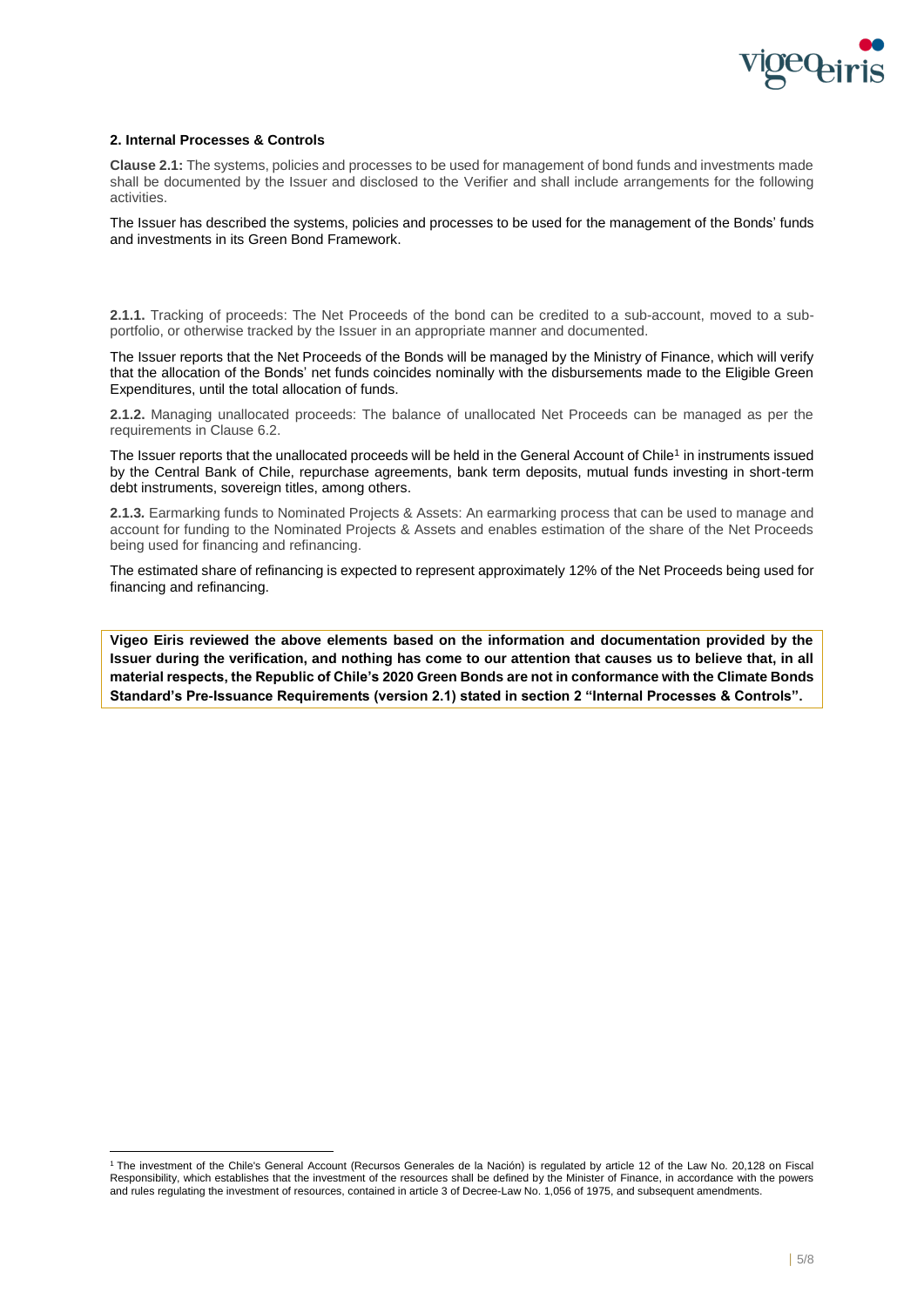

# **2. Internal Processes & Controls**

**Clause 2.1:** The systems, policies and processes to be used for management of bond funds and investments made shall be documented by the Issuer and disclosed to the Verifier and shall include arrangements for the following activities.

The Issuer has described the systems, policies and processes to be used for the management of the Bonds' funds and investments in its Green Bond Framework.

**2.1.1.** Tracking of proceeds: The Net Proceeds of the bond can be credited to a sub-account, moved to a subportfolio, or otherwise tracked by the Issuer in an appropriate manner and documented.

The Issuer reports that the Net Proceeds of the Bonds will be managed by the Ministry of Finance, which will verify that the allocation of the Bonds' net funds coincides nominally with the disbursements made to the Eligible Green Expenditures, until the total allocation of funds.

**2.1.2.** Managing unallocated proceeds: The balance of unallocated Net Proceeds can be managed as per the requirements in Clause 6.2.

The Issuer reports that the unallocated proceeds will be held in the General Account of Chile<sup>1</sup> in instruments issued by the Central Bank of Chile, repurchase agreements, bank term deposits, mutual funds investing in short-term debt instruments, sovereign titles, among others.

**2.1.3***.* Earmarking funds to Nominated Projects & Assets: An earmarking process that can be used to manage and account for funding to the Nominated Projects & Assets and enables estimation of the share of the Net Proceeds being used for financing and refinancing.

The estimated share of refinancing is expected to represent approximately 12% of the Net Proceeds being used for financing and refinancing.

**Vigeo Eiris reviewed the above elements based on the information and documentation provided by the Issuer during the verification, and nothing has come to our attention that causes us to believe that, in all material respects, the Republic of Chile's 2020 Green Bonds are not in conformance with the Climate Bonds Standard's Pre-Issuance Requirements (version 2.1) stated in section 2 "Internal Processes & Controls".**

<sup>1</sup> The investment of the Chile's General Account (Recursos Generales de la Nación) is regulated by article 12 of the Law No. 20,128 on Fiscal Responsibility, which establishes that the investment of the resources shall be defined by the Minister of Finance, in accordance with the powers and rules regulating the investment of resources, contained in article 3 of Decree-Law No. 1,056 of 1975, and subsequent amendments.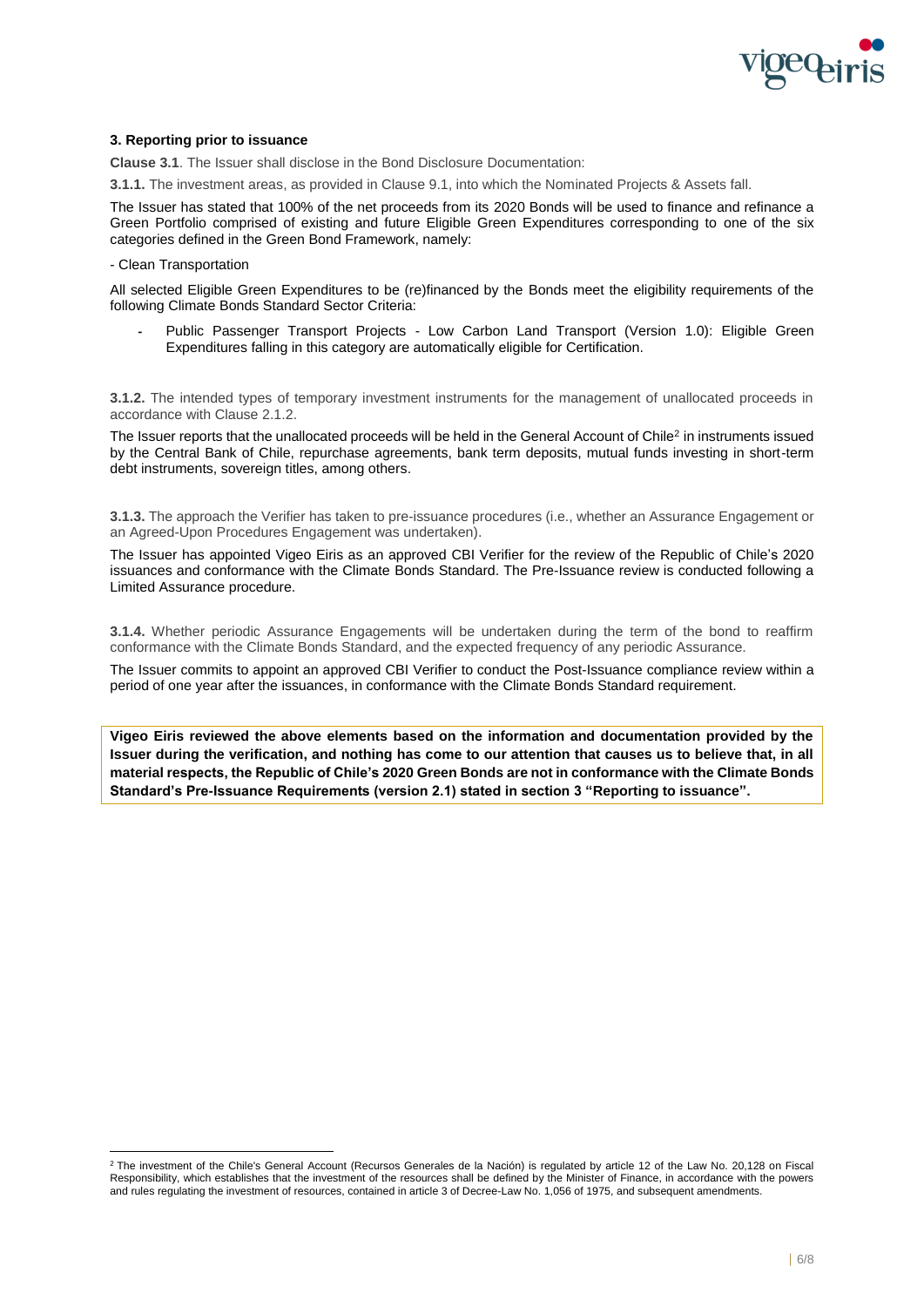

# **3. Reporting prior to issuance**

**Clause 3.1**. The Issuer shall disclose in the Bond Disclosure Documentation:

**3.1.1.** The investment areas, as provided in Clause 9.1, into which the Nominated Projects & Assets fall.

The Issuer has stated that 100% of the net proceeds from its 2020 Bonds will be used to finance and refinance a Green Portfolio comprised of existing and future Eligible Green Expenditures corresponding to one of the six categories defined in the Green Bond Framework, namely:

### - Clean Transportation

All selected Eligible Green Expenditures to be (re)financed by the Bonds meet the eligibility requirements of the following Climate Bonds Standard Sector Criteria:

Public Passenger Transport Projects - Low Carbon Land Transport (Version 1.0): Eligible Green Expenditures falling in this category are automatically eligible for Certification.

**3.1.2.** The intended types of temporary investment instruments for the management of unallocated proceeds in accordance with Clause 2.1.2.

The Issuer reports that the unallocated proceeds will be held in the General Account of Chile<sup>2</sup> in instruments issued by the Central Bank of Chile, repurchase agreements, bank term deposits, mutual funds investing in short-term debt instruments, sovereign titles, among others.

**3.1.3.** The approach the Verifier has taken to pre-issuance procedures (i.e., whether an Assurance Engagement or an Agreed-Upon Procedures Engagement was undertaken).

The Issuer has appointed Vigeo Eiris as an approved CBI Verifier for the review of the Republic of Chile's 2020 issuances and conformance with the Climate Bonds Standard. The Pre-Issuance review is conducted following a Limited Assurance procedure.

**3.1.4.** Whether periodic Assurance Engagements will be undertaken during the term of the bond to reaffirm conformance with the Climate Bonds Standard, and the expected frequency of any periodic Assurance.

The Issuer commits to appoint an approved CBI Verifier to conduct the Post-Issuance compliance review within a period of one year after the issuances, in conformance with the Climate Bonds Standard requirement.

**Vigeo Eiris reviewed the above elements based on the information and documentation provided by the Issuer during the verification, and nothing has come to our attention that causes us to believe that, in all material respects, the Republic of Chile's 2020 Green Bonds are not in conformance with the Climate Bonds Standard's Pre-Issuance Requirements (version 2.1) stated in section 3 "Reporting to issuance".**

<sup>2</sup> The investment of the Chile's General Account (Recursos Generales de la Nación) is regulated by article 12 of the Law No. 20,128 on Fiscal Responsibility, which establishes that the investment of the resources shall be defined by the Minister of Finance, in accordance with the powers and rules regulating the investment of resources, contained in article 3 of Decree-Law No. 1,056 of 1975, and subsequent amendments.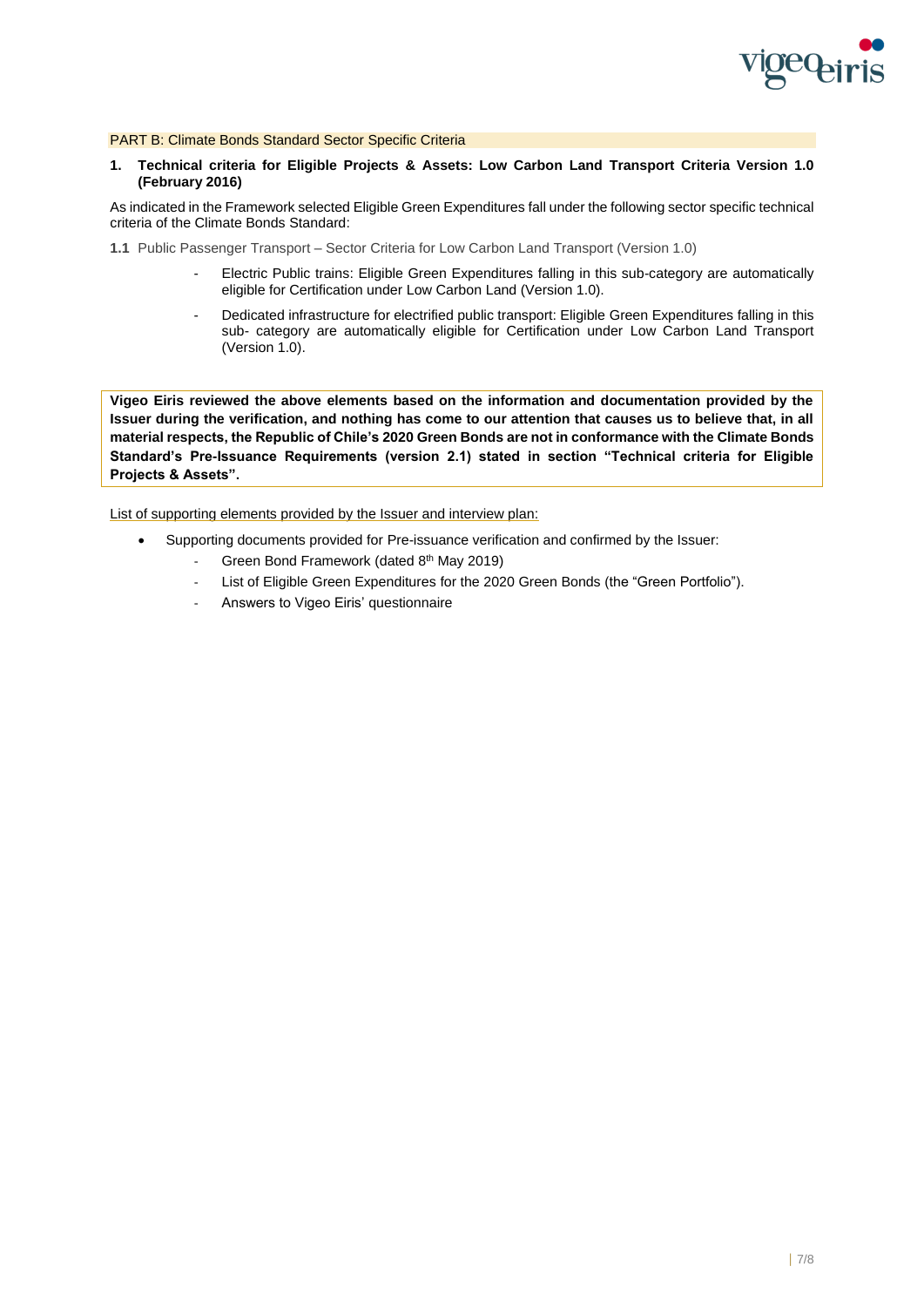

PART B: Climate Bonds Standard Sector Specific Criteria

**1. Technical criteria for Eligible Projects & Assets: Low Carbon Land Transport Criteria Version 1.0 (February 2016)**

As indicated in the Framework selected Eligible Green Expenditures fall under the following sector specific technical criteria of the Climate Bonds Standard:

- **1.1** Public Passenger Transport Sector Criteria for Low Carbon Land Transport (Version 1.0)
	- Electric Public trains: Eligible Green Expenditures falling in this sub-category are automatically eligible for Certification under Low Carbon Land (Version 1.0).
	- Dedicated infrastructure for electrified public transport: Eligible Green Expenditures falling in this sub- category are automatically eligible for Certification under Low Carbon Land Transport (Version 1.0).

**Vigeo Eiris reviewed the above elements based on the information and documentation provided by the Issuer during the verification, and nothing has come to our attention that causes us to believe that, in all material respects, the Republic of Chile's 2020 Green Bonds are not in conformance with the Climate Bonds Standard's Pre-Issuance Requirements (version 2.1) stated in section "Technical criteria for Eligible Projects & Assets".**

List of supporting elements provided by the Issuer and interview plan:

- Supporting documents provided for Pre-issuance verification and confirmed by the Issuer:
	- Green Bond Framework (dated 8<sup>th</sup> May 2019)
	- List of Eligible Green Expenditures for the 2020 Green Bonds (the "Green Portfolio").
	- Answers to Vigeo Eiris' questionnaire